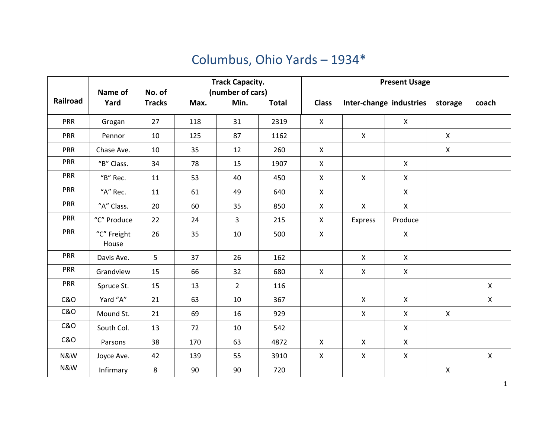## Columbus, Ohio Yards – 1934\*

|                | Name of              | No. of        | <b>Track Capacity.</b><br>(number of cars) |                |              | <b>Present Usage</b> |              |                         |                    |                |
|----------------|----------------------|---------------|--------------------------------------------|----------------|--------------|----------------------|--------------|-------------------------|--------------------|----------------|
| Railroad       | Yard                 | <b>Tracks</b> | Max.                                       | Min.           | <b>Total</b> | <b>Class</b>         |              | Inter-change industries | storage            | coach          |
| <b>PRR</b>     | Grogan               | 27            | 118                                        | 31             | 2319         | X                    |              | $\mathsf{X}$            |                    |                |
| PRR            | Pennor               | 10            | 125                                        | 87             | 1162         |                      | $\mathsf{X}$ |                         | $\mathsf{X}$       |                |
| PRR            | Chase Ave.           | 10            | 35                                         | 12             | 260          | $\mathsf{X}$         |              |                         | $\mathsf{X}$       |                |
| PRR            | "B" Class.           | 34            | 78                                         | 15             | 1907         | $\pmb{\times}$       |              | $\mathsf{X}$            |                    |                |
| PRR            | "B" Rec.             | 11            | 53                                         | 40             | 450          | $\mathsf{X}$         | $\mathsf{X}$ | $\mathsf{X}$            |                    |                |
| <b>PRR</b>     | "A" Rec.             | 11            | 61                                         | 49             | 640          | $\mathsf{X}$         |              | $\mathsf{X}$            |                    |                |
| <b>PRR</b>     | "A" Class.           | 20            | 60                                         | 35             | 850          | $\mathsf{X}$         | $\mathsf{X}$ | $\mathsf{X}$            |                    |                |
| <b>PRR</b>     | "C" Produce          | 22            | 24                                         | $\overline{3}$ | 215          | $\pmb{\mathsf{X}}$   | Express      | Produce                 |                    |                |
| <b>PRR</b>     | "C" Freight<br>House | 26            | 35                                         | 10             | 500          | $\pmb{\mathsf{X}}$   |              | $\mathsf{X}$            |                    |                |
| <b>PRR</b>     | Davis Ave.           | 5             | 37                                         | 26             | 162          |                      | $\mathsf{X}$ | $\mathsf{X}$            |                    |                |
| PRR            | Grandview            | 15            | 66                                         | 32             | 680          | $\mathsf{X}$         | $\mathsf{X}$ | $\mathsf{X}$            |                    |                |
| <b>PRR</b>     | Spruce St.           | 15            | 13                                         | $2^{\circ}$    | 116          |                      |              |                         |                    | $\pmb{\times}$ |
| <b>C&amp;O</b> | Yard "A"             | 21            | 63                                         | 10             | 367          |                      | $\mathsf{X}$ | $\mathsf{X}$            |                    | $\pmb{\times}$ |
| <b>C&amp;O</b> | Mound St.            | 21            | 69                                         | 16             | 929          |                      | $\mathsf{X}$ | $\mathsf{X}$            | $\pmb{\mathsf{X}}$ |                |
| <b>C&amp;O</b> | South Col.           | 13            | 72                                         | 10             | 542          |                      |              | X                       |                    |                |
| <b>C&amp;O</b> | Parsons              | 38            | 170                                        | 63             | 4872         | $\mathsf{X}$         | $\mathsf{X}$ | $\mathsf{X}$            |                    |                |
| N&W            | Joyce Ave.           | 42            | 139                                        | 55             | 3910         | X                    | $\mathsf{X}$ | $\mathsf{X}$            |                    | $\mathsf{X}$   |
| N&W            | Infirmary            | 8             | 90                                         | 90             | 720          |                      |              |                         | $\mathsf{X}$       |                |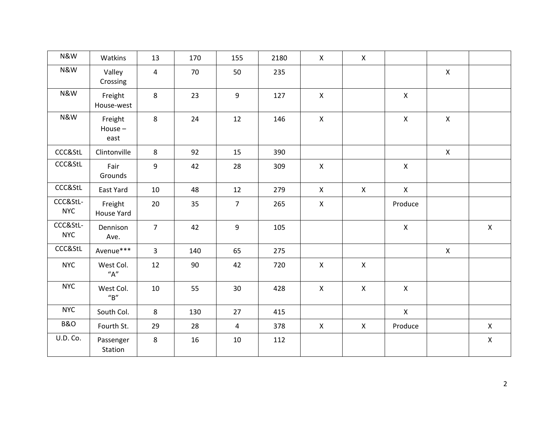| N&W                    | Watkins                           | 13             | 170 | 155            | 2180 | $\mathsf{X}$       | $\mathsf{X}$   |              |              |                    |
|------------------------|-----------------------------------|----------------|-----|----------------|------|--------------------|----------------|--------------|--------------|--------------------|
| N&W                    | Valley<br>Crossing                | $\overline{4}$ | 70  | 50             | 235  |                    |                |              | $\mathsf{X}$ |                    |
| N&W                    | Freight<br>House-west             | 8              | 23  | 9              | 127  | $\mathsf{X}$       |                | $\mathsf{X}$ |              |                    |
| N&W                    | Freight<br>House $-$<br>east      | 8              | 24  | 12             | 146  | $\mathsf{X}$       |                | $\mathsf{X}$ | $\mathsf{X}$ |                    |
| CCC&StL                | Clintonville                      | 8              | 92  | 15             | 390  |                    |                |              | $\mathsf{X}$ |                    |
| CCC&StL                | Fair<br>Grounds                   | 9              | 42  | 28             | 309  | $\mathsf{X}$       |                | $\mathsf{X}$ |              |                    |
| CCC&StL                | East Yard                         | 10             | 48  | 12             | 279  | $\mathsf{X}$       | $\mathsf{X}$   | $\mathsf{X}$ |              |                    |
| CCC&StL-<br><b>NYC</b> | Freight<br>House Yard             | 20             | 35  | $\overline{7}$ | 265  | $\pmb{\mathsf{X}}$ |                | Produce      |              |                    |
| CCC&StL-<br><b>NYC</b> | Dennison<br>Ave.                  | $\overline{7}$ | 42  | 9              | 105  |                    |                | $\mathsf{X}$ |              | $\mathsf{X}$       |
| CCC&StL                | Avenue***                         | $\overline{3}$ | 140 | 65             | 275  |                    |                |              | $\mathsf{X}$ |                    |
| <b>NYC</b>             | West Col.<br>"A"                  | 12             | 90  | 42             | 720  | $\mathsf{X}$       | $\mathsf{X}$   |              |              |                    |
| <b>NYC</b>             | West Col.<br>$^{\prime\prime}$ B" | 10             | 55  | 30             | 428  | $\pmb{\times}$     | $\pmb{\times}$ | $\mathsf{X}$ |              |                    |
| <b>NYC</b>             | South Col.                        | 8              | 130 | 27             | 415  |                    |                | $\mathsf{X}$ |              |                    |
| <b>B&amp;O</b>         | Fourth St.                        | 29             | 28  | $\overline{4}$ | 378  | $\pmb{\mathsf{X}}$ | $\mathsf{X}$   | Produce      |              | $\mathsf{X}$       |
| U.D. Co.               | Passenger<br>Station              | 8              | 16  | 10             | 112  |                    |                |              |              | $\pmb{\mathsf{X}}$ |